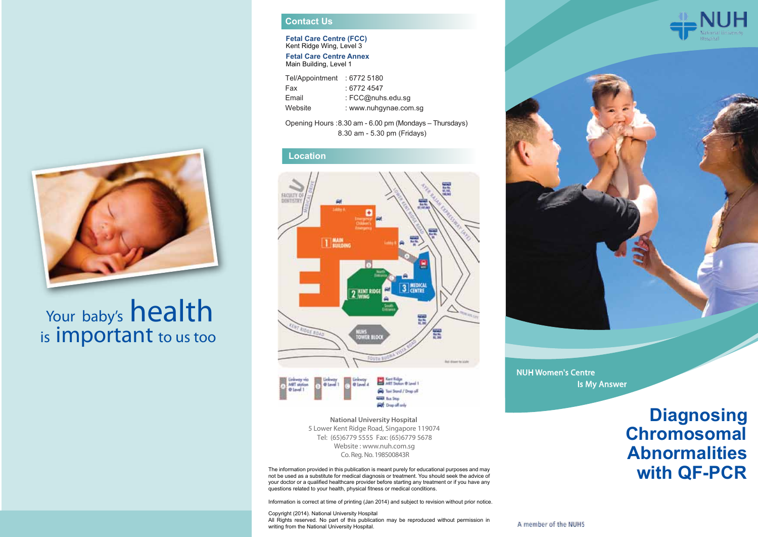

# Your baby's health is important to us too

### **Contact Us**

**Fetal Care Centre (FCC)** Kent Ridge Wing, Level 3

**Fetal Care Centre Annex** Main Building, Level 1

| : 67724547<br>Fax<br>: FCC@nuhs.edu.sg<br>Email<br>Website | Tel/Appointment | 16772 5180∶           |
|------------------------------------------------------------|-----------------|-----------------------|
|                                                            |                 |                       |
|                                                            |                 |                       |
|                                                            |                 | : www.nuhqynae.com.sq |

Opening Hours : 8.30 am - 6.00 pm (Mondays – Thursdays) 8.30 am - 5.30 pm (Fridays)

#### **Location**





Co. Reg. No. 198500843R **National University Hospital**  5 Lower Kent Ridge Road, Singapore 119074 Website : www.nuh.com.sg Tel: (65)6779 5555 Fax: (65)6779 5678

The information provided in this publication is meant purely for educational purposes and may not be used as a substitute for medical diagnosis or treatment. You should seek the advice of your doctor or a qualified healthcare provider before starting any treatment or if you have any questions related to your health, physical fitness or medical conditions.

Information is correct at time of printing (Jan 2014) and subject to revision without prior notice.

Copyright (2014). National University Hospital All Rights reserved. No part of this publication may be reproduced without permission in writing from the National University Hospital.





NUH Women's Centre Is My Answer

## **Diagnosing Chromosomal Abnormalities with QF-PCR**

A member of the NUHS